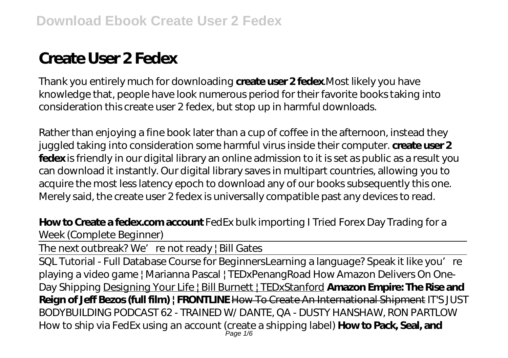# **Create User 2 Fedex**

Thank you entirely much for downloading **create user 2 fedex**.Most likely you have knowledge that, people have look numerous period for their favorite books taking into consideration this create user 2 fedex, but stop up in harmful downloads.

Rather than enjoying a fine book later than a cup of coffee in the afternoon, instead they juggled taking into consideration some harmful virus inside their computer. **create user 2 fedex** is friendly in our digital library an online admission to it is set as public as a result you can download it instantly. Our digital library saves in multipart countries, allowing you to acquire the most less latency epoch to download any of our books subsequently this one. Merely said, the create user 2 fedex is universally compatible past any devices to read.

**How to Create a fedex.com account** *FedEx bulk importing I Tried Forex Day Trading for a Week (Complete Beginner)*

The next outbreak? We' re not ready | Bill Gates

SQL Tutorial - Full Database Course for BeginnersLearning a language? Speak it like you're *playing a video game | Marianna Pascal | TEDxPenangRoad How Amazon Delivers On One-Day Shipping* Designing Your Life | Bill Burnett | TEDxStanford **Amazon Empire: The Rise and Reign of Jeff Bezos (full film) | FRONTLINE** How To Create An International Shipment *IT'S JUST BODYBUILDING PODCAST 62 - TRAINED W/ DANTE, QA - DUSTY HANSHAW, RON PARTLOW How to ship via FedEx using an account (create a shipping label)* **How to Pack, Seal, and** Page 1/6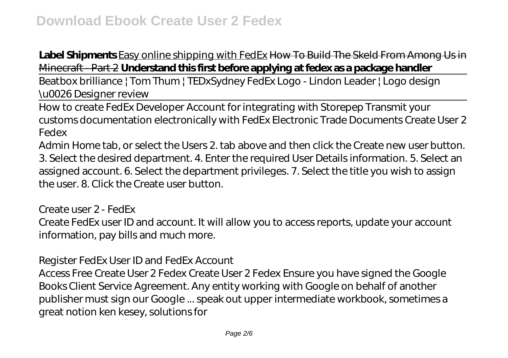# Label Shipments Easy online shipping with FedEx How To Build The Skeld From Among Us in Minecraft - Part 2 **Understand this first before applying at fedex as a package handler**

Beatbox brilliance | Tom Thum | TEDxSydney FedEx Logo - Lindon Leader | Logo design \u0026 Designer review

How to create FedEx Developer Account for integrating with Storepep Transmit your customs documentation electronically with FedEx Electronic Trade Documents Create User 2 Fedex

Admin Home tab, or select the Users 2. tab above and then click the Create new user button. 3. Select the desired department. 4. Enter the required User Details information. 5. Select an assigned account. 6. Select the department privileges. 7. Select the title you wish to assign the user. 8. Click the Create user button.

Create user 2 - FedEx Create FedEx user ID and account. It will allow you to access reports, update your account information, pay bills and much more.

Register FedEx User ID and FedEx Account

Access Free Create User 2 Fedex Create User 2 Fedex Ensure you have signed the Google Books Client Service Agreement. Any entity working with Google on behalf of another publisher must sign our Google ... speak out upper intermediate workbook, sometimes a great notion ken kesey, solutions for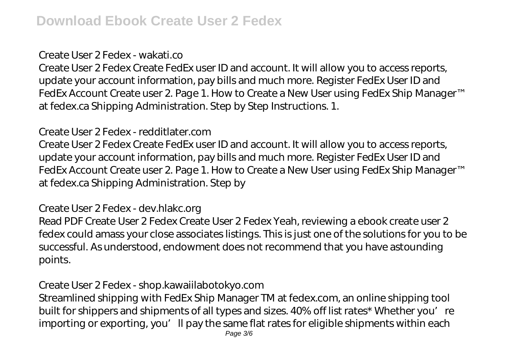#### Create User 2 Fedex - wakati.co

Create User 2 Fedex Create FedEx user ID and account. It will allow you to access reports, update your account information, pay bills and much more. Register FedEx User ID and FedEx Account Create user 2. Page 1. How to Create a New User using FedEx Ship Manager™ at fedex.ca Shipping Administration. Step by Step Instructions. 1.

#### Create User 2 Fedex - redditlater.com

Create User 2 Fedex Create FedEx user ID and account. It will allow you to access reports, update your account information, pay bills and much more. Register FedEx User ID and FedEx Account Create user 2. Page 1. How to Create a New User using FedEx Ship Manager™ at fedex.ca Shipping Administration. Step by

#### Create User 2 Fedex - dev.hlakc.org

Read PDF Create User 2 Fedex Create User 2 Fedex Yeah, reviewing a ebook create user 2 fedex could amass your close associates listings. This is just one of the solutions for you to be successful. As understood, endowment does not recommend that you have astounding points.

## Create User 2 Fedex - shop.kawaiilabotokyo.com

Streamlined shipping with FedEx Ship Manager TM at fedex.com, an online shipping tool built for shippers and shipments of all types and sizes. 40% off list rates\* Whether you're importing or exporting, you'll pay the same flat rates for eligible shipments within each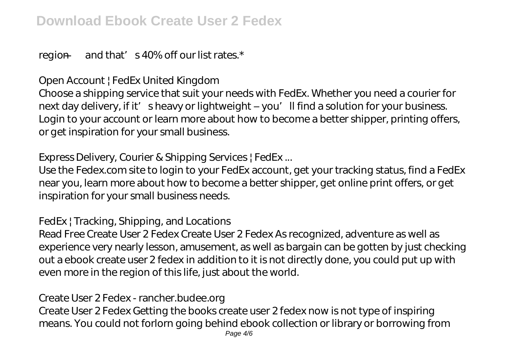region  $-$  and that' s 40% off our list rates. $*$ 

Open Account | FedEx United Kingdom

Choose a shipping service that suit your needs with FedEx. Whether you need a courier for next day delivery, if it' sheavy or lightweight – you'll find a solution for your business. Login to your account or learn more about how to become a better shipper, printing offers, or get inspiration for your small business.

Express Delivery, Courier & Shipping Services | FedEx ...

Use the Fedex.com site to login to your FedEx account, get your tracking status, find a FedEx near you, learn more about how to become a better shipper, get online print offers, or get inspiration for your small business needs.

FedEx | Tracking, Shipping, and Locations

Read Free Create User 2 Fedex Create User 2 Fedex As recognized, adventure as well as experience very nearly lesson, amusement, as well as bargain can be gotten by just checking out a ebook create user 2 fedex in addition to it is not directly done, you could put up with even more in the region of this life, just about the world.

Create User 2 Fedex - rancher.budee.org

Create User 2 Fedex Getting the books create user 2 fedex now is not type of inspiring means. You could not forlorn going behind ebook collection or library or borrowing from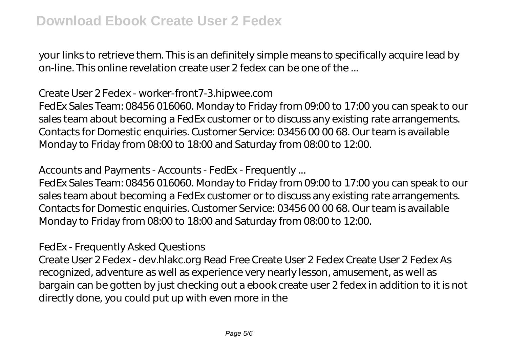your links to retrieve them. This is an definitely simple means to specifically acquire lead by on-line. This online revelation create user 2 fedex can be one of the ...

## Create User 2 Fedex - worker-front7-3.hipwee.com

FedEx Sales Team: 08456 016060. Monday to Friday from 09:00 to 17:00 you can speak to our sales team about becoming a FedEx customer or to discuss any existing rate arrangements. Contacts for Domestic enquiries. Customer Service: 03456 00 00 68. Our team is available Monday to Friday from 08:00 to 18:00 and Saturday from 08:00 to 12:00.

Accounts and Payments - Accounts - FedEx - Frequently ...

FedEx Sales Team: 08456 016060. Monday to Friday from 09:00 to 17:00 you can speak to our sales team about becoming a FedEx customer or to discuss any existing rate arrangements. Contacts for Domestic enquiries. Customer Service: 03456 00 00 68. Our team is available Monday to Friday from 08:00 to 18:00 and Saturday from 08:00 to 12:00.

FedEx - Frequently Asked Questions

Create User 2 Fedex - dev.hlakc.org Read Free Create User 2 Fedex Create User 2 Fedex As recognized, adventure as well as experience very nearly lesson, amusement, as well as bargain can be gotten by just checking out a ebook create user 2 fedex in addition to it is not directly done, you could put up with even more in the